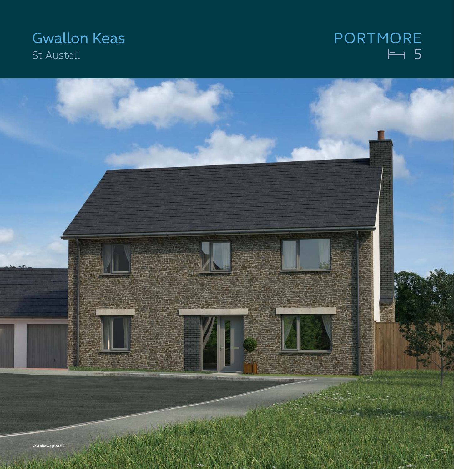## **Gwallon Keas** St Austell